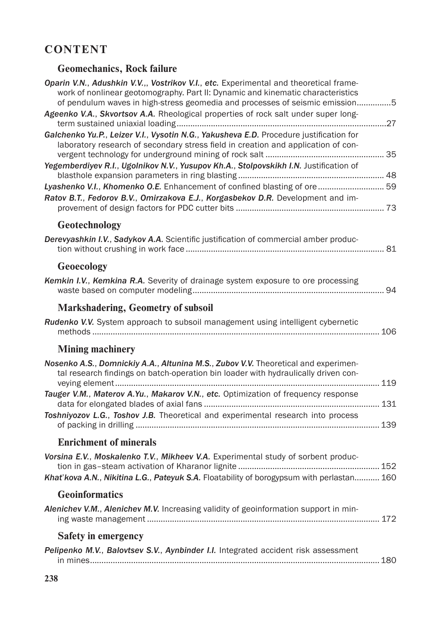## **CONTENT**

## **Geomechanics, Rock failure**

| Oparin V.N., Adushkin V.V.,, Vostrikov V.I., etc. Experimental and theoretical frame-<br>work of nonlinear geotomography. Part II: Dynamic and kinematic characteristics<br>of pendulum waves in high-stress geomedia and processes of seismic emission5 |  |
|----------------------------------------------------------------------------------------------------------------------------------------------------------------------------------------------------------------------------------------------------------|--|
| Ageenko V.A., Skvortsov A.A. Rheological properties of rock salt under super long-                                                                                                                                                                       |  |
| Galchenko Yu.P., Leizer V.I., Vysotin N.G., Yakusheva E.D. Procedure justification for<br>laboratory research of secondary stress field in creation and application of con-                                                                              |  |
| Yegemberdiyev R.I., Ugolnikov N.V., Yusupov Kh.A., Stolpovskikh I.N. Justification of                                                                                                                                                                    |  |
| Lyashenko V.I., Khomenko O.E. Enhancement of confined blasting of ore  59<br>Ratov B.T., Fedorov B.V., Omirzakova E.J., Korgasbekov D.R. Development and im-                                                                                             |  |
| Geotechnology                                                                                                                                                                                                                                            |  |
| Derevyashkin I.V., Sadykov A.A. Scientific justification of commercial amber produc-                                                                                                                                                                     |  |
| Geoecology                                                                                                                                                                                                                                               |  |
| Kemkin I.V., Kemkina R.A. Severity of drainage system exposure to ore processing                                                                                                                                                                         |  |
| <b>Markshadering, Geometry of subsoil</b>                                                                                                                                                                                                                |  |
| Rudenko V.V. System approach to subsoil management using intelligent cybernetic                                                                                                                                                                          |  |
| <b>Mining machinery</b>                                                                                                                                                                                                                                  |  |
| Nosenko A.S., Domnickiy A.A., Altunina M.S., Zubov V.V. Theoretical and experimen-<br>tal research findings on batch-operation bin loader with hydraulically driven con-                                                                                 |  |
| Tauger V.M., Materov A.Yu., Makarov V.N., etc. Optimization of frequency response                                                                                                                                                                        |  |
| Toshniyozov L.G., Toshov J.B. Theoretical and experimental research into process                                                                                                                                                                         |  |
| <b>Enrichment of minerals</b>                                                                                                                                                                                                                            |  |
| Vorsina E.V., Moskalenko T.V., Mikheev V.A. Experimental study of sorbent produc-                                                                                                                                                                        |  |
| Khat' kova A.N., Nikitina L.G., Pateyuk S.A. Floatability of borogypsum with perlastan 160                                                                                                                                                               |  |
| <b>Geoinformatics</b>                                                                                                                                                                                                                                    |  |
| Alenichev V.M., Alenichev M.V. Increasing validity of geoinformation support in min-                                                                                                                                                                     |  |
| <b>Safety in emergency</b>                                                                                                                                                                                                                               |  |
| Pelipenko M.V., Balovtsev S.V., Aynbinder I.I. Integrated accident risk assessment                                                                                                                                                                       |  |